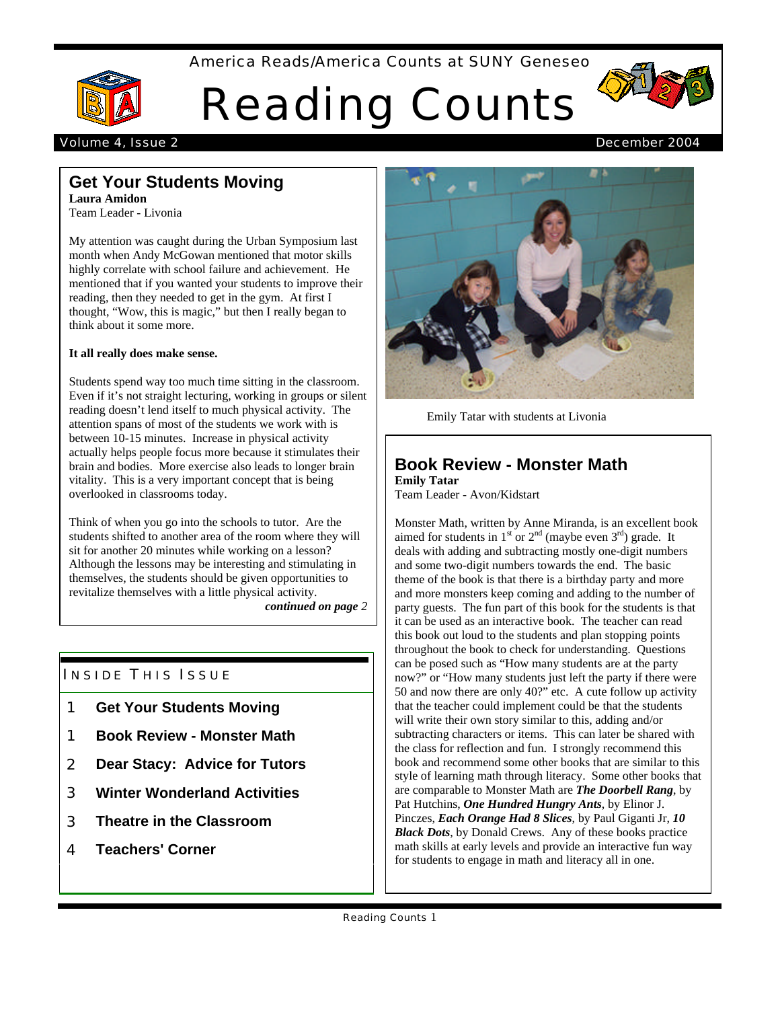America Reads/America Counts at SUNY Geneseo



# Reading Counts



#### Volume 4, Issue 2 December 2004

# **Get Your Students Moving**

**Laura Amidon** Team Leader - Livonia

My attention was caught during the Urban Symposium last month when Andy McGowan mentioned that motor skills highly correlate with school failure and achievement. He mentioned that if you wanted your students to improve their reading, then they needed to get in the gym. At first I thought, "Wow, this is magic," but then I really began to think about it some more.

#### **It all really does make sense.**

Students spend way too much time sitting in the classroom. Even if it's not straight lecturing, working in groups or silent reading doesn't lend itself to much physical activity. The attention spans of most of the students we work with is between 10-15 minutes. Increase in physical activity actually helps people focus more because it stimulates their brain and bodies. More exercise also leads to longer brain vitality. This is a very important concept that is being overlooked in classrooms today.

Think of when you go into the schools to tutor. Are the students shifted to another area of the room where they will sit for another 20 minutes while working on a lesson? Although the lessons may be interesting and stimulating in themselves, the students should be given opportunities to revitalize themselves with a little physical activity.

*continued on page 2*

## **INSIDE THIS ISSUE**

- 1 **Get Your Students Moving**
- 1 **Book Review Monster Math**
- 2 **Dear Stacy: Advice for Tutors**
- 3 **Winter Wonderland Activities**
- 3 **Theatre in the Classroom**
- 4 **Teachers' Corner**



Emily Tatar with students at Livonia

#### **Book Review - Monster Math Emily Tatar**

Team Leader - Avon/Kidstart

Monster Math, written by Anne Miranda, is an excellent book aimed for students in  $1<sup>st</sup>$  or  $2<sup>nd</sup>$  (maybe even  $3<sup>rd</sup>$ ) grade. It deals with adding and subtracting mostly one-digit numbers and some two-digit numbers towards the end. The basic theme of the book is that there is a birthday party and more and more monsters keep coming and adding to the number of party guests. The fun part of this book for the students is that it can be used as an interactive book. The teacher can read this book out loud to the students and plan stopping points throughout the book to check for understanding. Questions can be posed such as "How many students are at the party now?" or "How many students just left the party if there were 50 and now there are only 40?" etc. A cute follow up activity that the teacher could implement could be that the students will write their own story similar to this, adding and/or subtracting characters or items. This can later be shared with the class for reflection and fun. I strongly recommend this book and recommend some other books that are similar to this style of learning math through literacy. Some other books that are comparable to Monster Math are *The Doorbell Rang*, by Pat Hutchins, *One Hundred Hungry Ants*, by Elinor J. Pinczes, *Each Orange Had 8 Slices*, by Paul Giganti Jr, *10 Black Dots*, by Donald Crews. Any of these books practice math skills at early levels and provide an interactive fun way for students to engage in math and literacy all in one.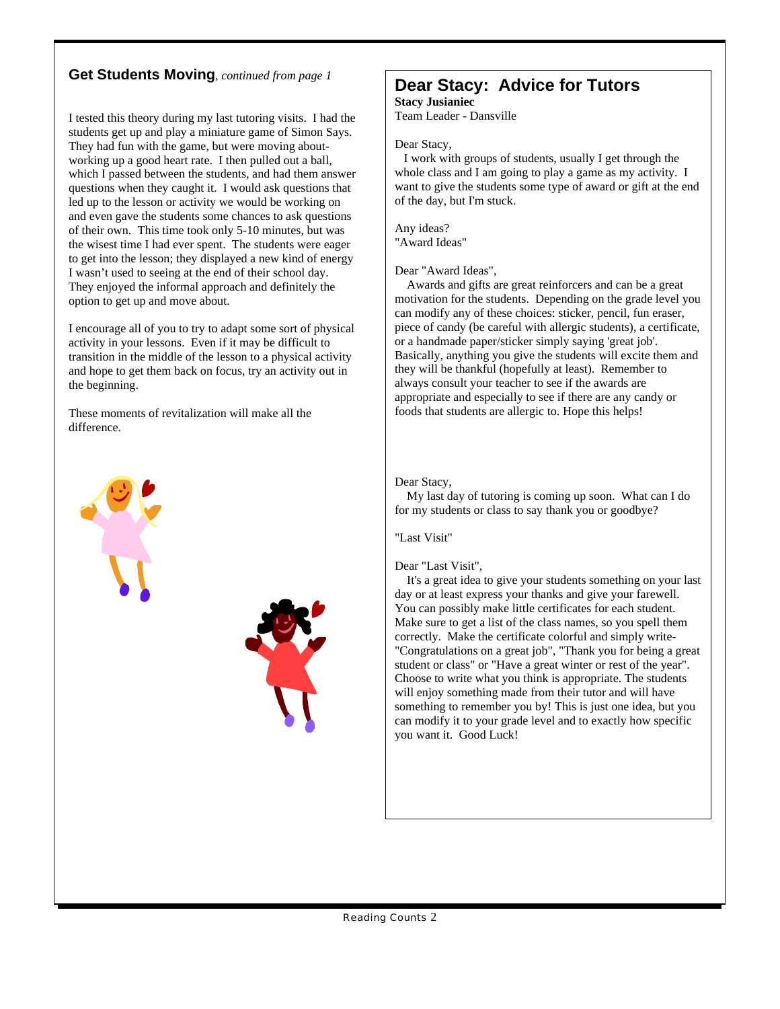## **Get Students Moving**, *continued from page 1*

I tested this theory during my last tutoring visits. I had the students get up and play a miniature game of Simon Says. They had fun with the game, but were moving aboutworking up a good heart rate. I then pulled out a ball, which I passed between the students, and had them answer questions when they caught it. I would ask questions that led up to the lesson or activity we would be working on and even gave the students some chances to ask questions of their own. This time took only 5-10 minutes, but was the wisest time I had ever spent. The students were eager to get into the lesson; they displayed a new kind of energy I wasn't used to seeing at the end of their school day. They enjoyed the informal approach and definitely the option to get up and move about.

I encourage all of you to try to adapt some sort of physical activity in your lessons. Even if it may be difficult to transition in the middle of the lesson to a physical activity and hope to get them back on focus, try an activity out in the beginning.

These moments of revitalization will make all the difference.



#### **Dear Stacy: Advice for Tutors Stacy Jusianiec**

Team Leader - Dansville

Dear Stacy,

 I work with groups of students, usually I get through the whole class and I am going to play a game as my activity. I want to give the students some type of award or gift at the end of the day, but I'm stuck.

Any ideas? "Award Ideas"

Dear "Award Ideas",

 Awards and gifts are great reinforcers and can be a great motivation for the students. Depending on the grade level you can modify any of these choices: sticker, pencil, fun eraser, piece of candy (be careful with allergic students), a certificate, or a handmade paper/sticker simply saying 'great job'. Basically, anything you give the students will excite them and they will be thankful (hopefully at least). Remember to always consult your teacher to see if the awards are appropriate and especially to see if there are any candy or foods that students are allergic to. Hope this helps!

#### Dear Stacy,

 My last day of tutoring is coming up soon. What can I do for my students or class to say thank you or goodbye?

"Last Visit"

Dear "Last Visit",

 It's a great idea to give your students something on your last day or at least express your thanks and give your farewell. You can possibly make little certificates for each student. Make sure to get a list of the class names, so you spell them correctly. Make the certificate colorful and simply write- "Congratulations on a great job", "Thank you for being a great student or class" or "Have a great winter or rest of the year". Choose to write what you think is appropriate. The students will enjoy something made from their tutor and will have something to remember you by! This is just one idea, but you can modify it to your grade level and to exactly how specific you want it. Good Luck!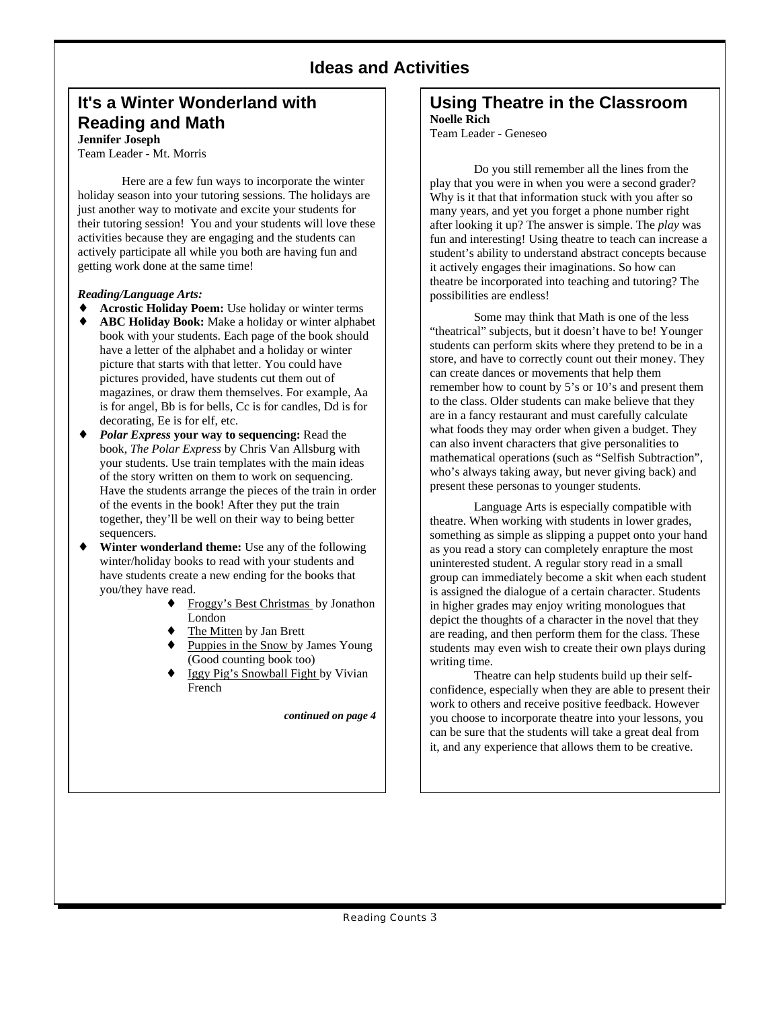## **Ideas and Activities**

### **It's a Winter Wonderland with Reading and Math Jennifer Joseph**

Team Leader - Mt. Morris

Here are a few fun ways to incorporate the winter holiday season into your tutoring sessions. The holidays are just another way to motivate and excite your students for their tutoring session! You and your students will love these activities because they are engaging and the students can actively participate all while you both are having fun and getting work done at the same time!

#### *Reading/Language Arts:*

**Acrostic Holiday Poem:** Use holiday or winter terms **ABC Holiday Book:** Make a holiday or winter alphabet book with your students. Each page of the book should have a letter of the alphabet and a holiday or winter picture that starts with that letter. You could have pictures provided, have students cut them out of magazines, or draw them themselves. For example, Aa is for angel, Bb is for bells, Cc is for candles, Dd is for decorating, Ee is for elf, etc.

*Polar Express* **your way to sequencing:** Read the book, *The Polar Express* by Chris Van Allsburg with your students. Use train templates with the main ideas of the story written on them to work on sequencing. Have the students arrange the pieces of the train in order of the events in the book! After they put the train together, they'll be well on their way to being better sequencers.

**Winter wonderland theme:** Use any of the following winter/holiday books to read with your students and have students create a new ending for the books that you/they have read.

> Froggy's Best Christmas by Jonathon London The Mitten by Jan Brett

> Puppies in the Snow by James Young (Good counting book too) Iggy Pig's Snowball Fight by Vivian French

> > *continued on page 4*

#### **Using Theatre in the Classroom Noelle Rich**

Team Leader - Geneseo

Do you still remember all the lines from the play that you were in when you were a second grader? Why is it that that information stuck with you after so many years, and yet you forget a phone number right after looking it up? The answer is simple. The *play* was fun and interesting! Using theatre to teach can increase a student's ability to understand abstract concepts because it actively engages their imaginations. So how can theatre be incorporated into teaching and tutoring? The possibilities are endless!

Some may think that Math is one of the less "theatrical" subjects, but it doesn't have to be! Younger students can perform skits where they pretend to be in a store, and have to correctly count out their money. They can create dances or movements that help them remember how to count by 5's or 10's and present them to the class. Older students can make believe that they are in a fancy restaurant and must carefully calculate what foods they may order when given a budget. They can also invent characters that give personalities to mathematical operations (such as "Selfish Subtraction", who's always taking away, but never giving back) and present these personas to younger students.

Language Arts is especially compatible with theatre. When working with students in lower grades, something as simple as slipping a puppet onto your hand as you read a story can completely enrapture the most uninterested student. A regular story read in a small group can immediately become a skit when each student is assigned the dialogue of a certain character. Students in higher grades may enjoy writing monologues that depict the thoughts of a character in the novel that they are reading, and then perform them for the class. These students may even wish to create their own plays during writing time.

Theatre can help students build up their selfconfidence, especially when they are able to present their work to others and receive positive feedback. However you choose to incorporate theatre into your lessons, you can be sure that the students will take a great deal from it, and any experience that allows them to be creative.